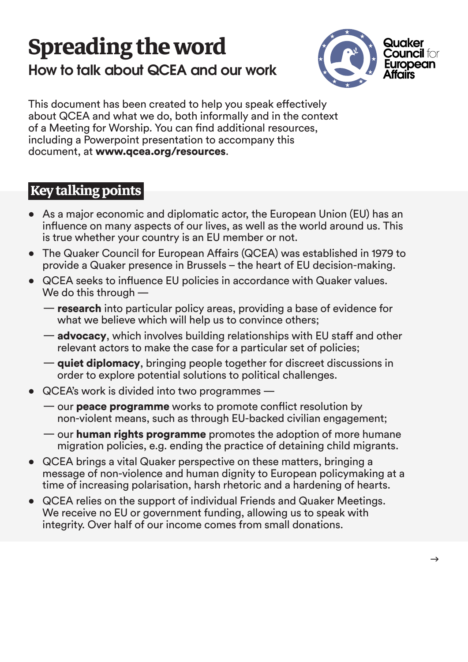# **Spreading the word How to talk about QCEA and our work**



This document has been created to help you speak effectively about QCEA and what we do, both informally and in the context of a Meeting for Worship. You can find additional resources, including a Powerpoint presentation to accompany this document, at www.gcea.org/resources.

# **key talking points**

- As a major economic and diplomatic actor, the European Union (EU) has an influence on many aspects of our lives, as well as the world around us. This is true whether your country is an EU member or not.
- The Quaker Council for European Affairs (QCEA) was established in 1979 to provide a Quaker presence in Brussels – the heart of EU decision-making.
- QCEA seeks to influence EU policies in accordance with Quaker values. We do this through  $-$ 
	- **research** into particular policy areas, providing a base of evidence for what we believe which will help us to convince others;
	- $\overline{\phantom{a}}$  advocacy, which involves building relationships with EU staff and other relevant actors to make the case for a particular set of policies;
	- in discussions discreent discussions in discreet discussions in order to explore potential solutions to political challenges.
- $\overline{QCE}$ A's work is divided into two programmes  $\overline{\phantom{a}}$ 
	- $\sim$  our **peace programme** works to promote conflict resolution by non-violent means, such as through EU-backed civilian engagement;
	- $\frac{m}{n}$  our **human rights programme** promotes the adoption of more humane migration policies, e.g. ending the practice of detaining child migrants.
- a QCEA brings a vital Quaker perspective on these matters, bringing a message of non-violence and human dignity to European policymaking at a time of increasing polarisation, harsh rhetoric and a hardening of hearts.
- QCEA relies on the support of individual Friends and Quaker Meetings. We receive no EU or government funding, allowing us to speak with integrity. Over half of our income comes from small donations.